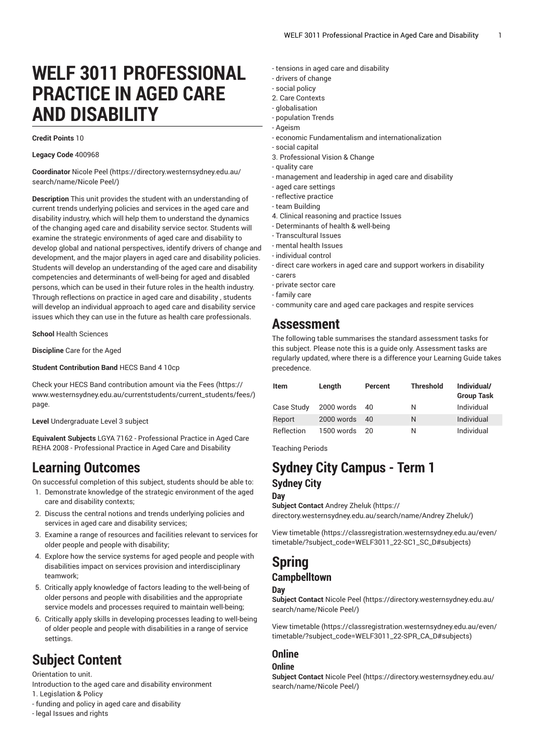# **WELF 3011 PROFESSIONAL PRACTICE IN AGED CARE AND DISABILITY**

#### **Credit Points** 10

#### **Legacy Code** 400968

**Coordinator** [Nicole](https://directory.westernsydney.edu.au/search/name/Nicole Peel/) Peel [\(https://directory.westernsydney.edu.au/](https://directory.westernsydney.edu.au/search/name/Nicole Peel/) [search/name/Nicole](https://directory.westernsydney.edu.au/search/name/Nicole Peel/) Peel/)

**Description** This unit provides the student with an understanding of current trends underlying policies and services in the aged care and disability industry, which will help them to understand the dynamics of the changing aged care and disability service sector. Students will examine the strategic environments of aged care and disability to develop global and national perspectives, identify drivers of change and development, and the major players in aged care and disability policies. Students will develop an understanding of the aged care and disability competencies and determinants of well-being for aged and disabled persons, which can be used in their future roles in the health industry. Through reflections on practice in aged care and disability , students will develop an individual approach to aged care and disability service issues which they can use in the future as health care professionals.

**School** Health Sciences

**Discipline** Care for the Aged

**Student Contribution Band** HECS Band 4 10cp

Check your HECS Band contribution amount via the [Fees \(https://](https://www.westernsydney.edu.au/currentstudents/current_students/fees/) [www.westernsydney.edu.au/currentstudents/current\\_students/fees/\)](https://www.westernsydney.edu.au/currentstudents/current_students/fees/) page.

**Level** Undergraduate Level 3 subject

**Equivalent Subjects** LGYA 7162 - Professional Practice in Aged Care REHA 2008 - Professional Practice in Aged Care and Disability

## **Learning Outcomes**

On successful completion of this subject, students should be able to:

- 1. Demonstrate knowledge of the strategic environment of the aged care and disability contexts;
- 2. Discuss the central notions and trends underlying policies and services in aged care and disability services;
- 3. Examine a range of resources and facilities relevant to services for older people and people with disability;
- 4. Explore how the service systems for aged people and people with disabilities impact on services provision and interdisciplinary teamwork;
- 5. Critically apply knowledge of factors leading to the well-being of older persons and people with disabilities and the appropriate service models and processes required to maintain well-being;
- 6. Critically apply skills in developing processes leading to well-being of older people and people with disabilities in a range of service settings.

# **Subject Content**

Orientation to unit.

Introduction to the aged care and disability environment

- 1. Legislation & Policy
- funding and policy in aged care and disability
- legal Issues and rights
- tensions in aged care and disability
- drivers of change
- social policy
- 2. Care Contexts
- globalisation
- population Trends - Ageism
- economic Fundamentalism and internationalization
- social capital
- 3. Professional Vision & Change
- quality care
- management and leadership in aged care and disability
- aged care settings
- reflective practice
- team Building
- 4. Clinical reasoning and practice Issues
- Determinants of health & well-being
- Transcultural Issues
- mental health Issues
- individual control
- direct care workers in aged care and support workers in disability
- carers
- private sector care
- family care
- community care and aged care packages and respite services

## **Assessment**

The following table summarises the standard assessment tasks for this subject. Please note this is a guide only. Assessment tasks are regularly updated, where there is a difference your Learning Guide takes precedence.

| Item       | Length        | <b>Percent</b> | <b>Threshold</b> | Individual/<br><b>Group Task</b> |
|------------|---------------|----------------|------------------|----------------------------------|
| Case Study | 2000 words 40 |                | N                | Individual                       |
| Report     | 2000 words    | 40             | N                | Individual                       |
| Reflection | 1500 words    | - 20           | N                | Individual                       |

Teaching Periods

## **Sydney City Campus - Term 1 Sydney City**

**Day**

**Subject Contact** [Andrey](https://directory.westernsydney.edu.au/search/name/Andrey Zheluk/) Zheluk ([https://](https://directory.westernsydney.edu.au/search/name/Andrey Zheluk/) [directory.westernsydney.edu.au/search/name/Andrey](https://directory.westernsydney.edu.au/search/name/Andrey Zheluk/) Zheluk/)

[View timetable](https://classregistration.westernsydney.edu.au/even/timetable/?subject_code=WELF3011_22-SC1_SC_D#subjects) [\(https://classregistration.westernsydney.edu.au/even/](https://classregistration.westernsydney.edu.au/even/timetable/?subject_code=WELF3011_22-SC1_SC_D#subjects) [timetable/?subject\\_code=WELF3011\\_22-SC1\\_SC\\_D#subjects\)](https://classregistration.westernsydney.edu.au/even/timetable/?subject_code=WELF3011_22-SC1_SC_D#subjects)

### **Spring Campbelltown**

#### **Day**

**Subject Contact** [Nicole](https://directory.westernsydney.edu.au/search/name/Nicole Peel/) Peel ([https://directory.westernsydney.edu.au/](https://directory.westernsydney.edu.au/search/name/Nicole Peel/) [search/name/Nicole](https://directory.westernsydney.edu.au/search/name/Nicole Peel/) Peel/)

[View timetable](https://classregistration.westernsydney.edu.au/even/timetable/?subject_code=WELF3011_22-SPR_CA_D#subjects) [\(https://classregistration.westernsydney.edu.au/even/](https://classregistration.westernsydney.edu.au/even/timetable/?subject_code=WELF3011_22-SPR_CA_D#subjects) [timetable/?subject\\_code=WELF3011\\_22-SPR\\_CA\\_D#subjects\)](https://classregistration.westernsydney.edu.au/even/timetable/?subject_code=WELF3011_22-SPR_CA_D#subjects)

### **Online**

#### **Online**

**Subject Contact** [Nicole](https://directory.westernsydney.edu.au/search/name/Nicole Peel/) Peel ([https://directory.westernsydney.edu.au/](https://directory.westernsydney.edu.au/search/name/Nicole Peel/) [search/name/Nicole](https://directory.westernsydney.edu.au/search/name/Nicole Peel/) Peel/)